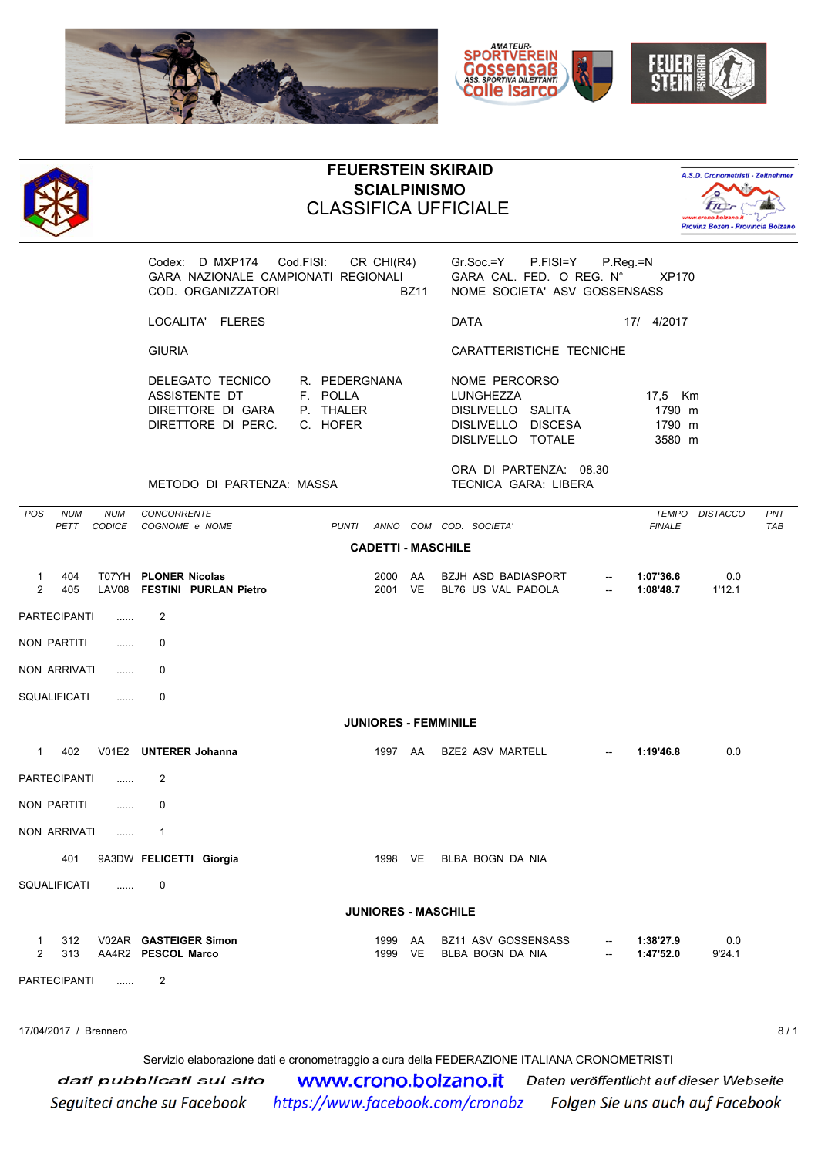





## **FEUERSTEIN SKIRAID SCIALPINISMO** CLASSIFICA UFFICIALE



Codex: D\_MXP174 Cod.FISI: CR\_CHI(R4) Gr.Soc.=Y P.FISI=Y P.Reg.=N GARA NAZIONALE CAMPIONATI REGIONALI GARA CAL. FED. O REG. N° XP170 COD. ORGANIZZATORI BZ11 NOME SOCIETA' ASV GOSSENSASS

LOCALITA' FLERES **DATA** 17/ 4/2017

| DELEGATO TECNICO            | R. PEDERGNANA | NOME PERCORSO      |                      |
|-----------------------------|---------------|--------------------|----------------------|
| ASSISTENTE DT               | E POLLA       | LUNGHEZZA          | 17.5 Km              |
| DIRETTORE DI GARA           | P. THAIFR     | DISLIVELLO SALITA  | 1790 m               |
| DIRETTORE DI PERC. C. HOFER |               | DISLIVELLO DISCESA | 1790 m               |
|                             |               |                    | $\sim$ $\sim$ $\sim$ |

|  | CARATTERISTICHE TECNICHE              |           |         |  |  |  |  |
|--|---------------------------------------|-----------|---------|--|--|--|--|
|  | NOME PERCORSO                         |           |         |  |  |  |  |
|  | DISLIVELLO SALITA                     |           | 1790 m  |  |  |  |  |
|  | R. PEDERGNANA<br>E POLIA<br>P. THAIFR | LUNGHEZZA | 17.5 Km |  |  |  |  |

DISLIVELLO TOTALE 3580 m

ORA DI PARTENZA: 08.30 METODO DI PARTENZA: MASSA TECNICA GARA: LIBERA

| POS                            | <b>NUM</b><br>PETT | <b>NUM</b><br><b>CODICE</b> | CONCORRENTE<br>COGNOME e NOME                        | <b>PUNTI</b> |              |                 | ANNO COM COD. SOCIETA'                           |        | <b>TEMPO</b><br><b>FINALE</b> | <b>DISTACCO</b> | PNT<br><b>TAB</b> |
|--------------------------------|--------------------|-----------------------------|------------------------------------------------------|--------------|--------------|-----------------|--------------------------------------------------|--------|-------------------------------|-----------------|-------------------|
| <b>CADETTI - MASCHILE</b>      |                    |                             |                                                      |              |              |                 |                                                  |        |                               |                 |                   |
| $\overline{1}$<br>2            | 404<br>405         | LAV08                       | T07YH PLONER Nicolas<br><b>FESTINI PURLAN Pietro</b> |              | 2000<br>2001 | AA<br><b>VE</b> | <b>BZJH ASD BADIASPORT</b><br>BL76 US VAL PADOLA |        | 1:07'36.6<br>1:08'48.7        | 0.0<br>1'12.1   |                   |
| <b>PARTECIPANTI</b>            |                    | .                           | 2                                                    |              |              |                 |                                                  |        |                               |                 |                   |
| <b>NON PARTITI</b>             |                    | .                           | 0                                                    |              |              |                 |                                                  |        |                               |                 |                   |
| <b>NON ARRIVATI</b>            |                    | .                           | 0                                                    |              |              |                 |                                                  |        |                               |                 |                   |
| SQUALIFICATI                   |                    | .                           | $\Omega$                                             |              |              |                 |                                                  |        |                               |                 |                   |
| <b>JUNIORES - FEMMINILE</b>    |                    |                             |                                                      |              |              |                 |                                                  |        |                               |                 |                   |
| $\mathbf{1}$                   | 402                |                             | V01E2 UNTERER Johanna                                |              | 1997 AA      |                 | <b>BZE2 ASV MARTELL</b>                          |        | 1:19'46.8                     | 0.0             |                   |
| <b>PARTECIPANTI</b>            |                    | 1.1.1.1                     | 2                                                    |              |              |                 |                                                  |        |                               |                 |                   |
| <b>NON PARTITI</b>             |                    | .                           | 0                                                    |              |              |                 |                                                  |        |                               |                 |                   |
| <b>NON ARRIVATI</b>            |                    | 1.1.1.1                     | $\mathbf 1$                                          |              |              |                 |                                                  |        |                               |                 |                   |
|                                | 401                |                             | 9A3DW FELICETTI Giorgia                              |              | 1998 VE      |                 | BLBA BOGN DA NIA                                 |        |                               |                 |                   |
| <b>SQUALIFICATI</b>            |                    | $\ldots$                    | $\mathbf{0}$                                         |              |              |                 |                                                  |        |                               |                 |                   |
| <b>JUNIORES - MASCHILE</b>     |                    |                             |                                                      |              |              |                 |                                                  |        |                               |                 |                   |
| $\mathbf{1}$<br>$\overline{2}$ | 312<br>313         |                             | V02AR GASTEIGER Simon<br>AA4R2 PESCOL Marco          |              | 1999<br>1999 | AA<br><b>VE</b> | <b>BZ11 ASV GOSSENSASS</b><br>BLBA BOGN DA NIA   | $\sim$ | 1:38'27.9<br>1:47'52.0        | 0.0<br>9'24.1   |                   |
| <b>PARTECIPANTI</b>            |                    | 1.1.1.1                     | 2                                                    |              |              |                 |                                                  |        |                               |                 |                   |

17/04/2017 / Brennero 8 / 1

Servizio elaborazione dati e cronometraggio a cura della FEDERAZIONE ITALIANA CRONOMETRISTI**WWW.Crono.bolzano.it** Daten veröffentlicht auf dieser Webseite dati pubblicati sul sito https://www.facebook.com/cronobz Folgen Sie uns auch auf Facebook Seguiteci anche su Facebook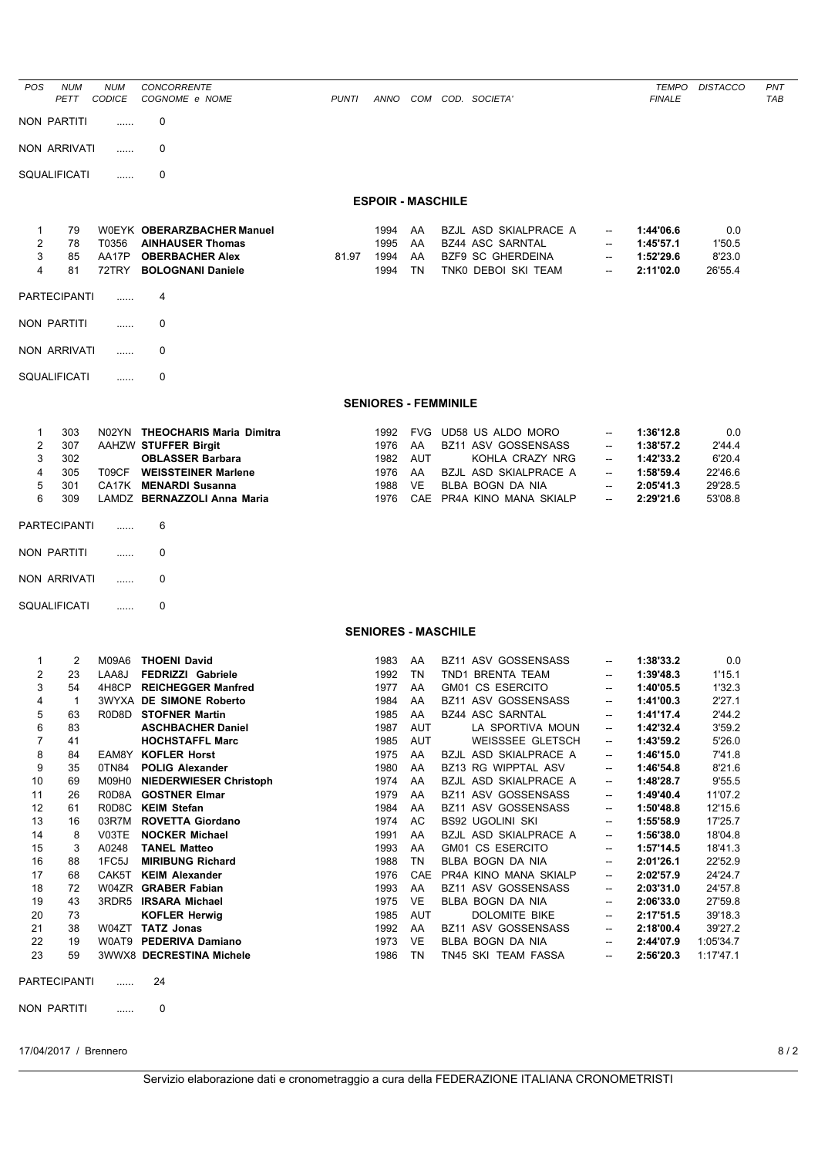| <b>POS</b>                                                                                                                    | <b>NUM</b><br>PETT                                                                                                                            | <b>NUM</b><br><b>CODICE</b>               | <b>CONCORRENTE</b><br>COGNOME e NOME                                                                                                                                                                                                                                                                                                                                                                                                                                                                                                                                                          | <b>PUNTI</b> | ANNO                                                                                                                                                                                 | COM                                                                                                                                        | COD. SOCIETA                                                                                                                                                                                                                                                                                                                                                                                                                                                                                                                               |                                                                                                                                                                                                                                                                                                                                                                                                                                                                                                  | <b>TEMPO</b><br><b>FINALE</b>                                                                                                                                                                                                                                                                           | <b>DISTACCO</b>                                                                                                                                                                                                                                  | PNT<br>TAB |
|-------------------------------------------------------------------------------------------------------------------------------|-----------------------------------------------------------------------------------------------------------------------------------------------|-------------------------------------------|-----------------------------------------------------------------------------------------------------------------------------------------------------------------------------------------------------------------------------------------------------------------------------------------------------------------------------------------------------------------------------------------------------------------------------------------------------------------------------------------------------------------------------------------------------------------------------------------------|--------------|--------------------------------------------------------------------------------------------------------------------------------------------------------------------------------------|--------------------------------------------------------------------------------------------------------------------------------------------|--------------------------------------------------------------------------------------------------------------------------------------------------------------------------------------------------------------------------------------------------------------------------------------------------------------------------------------------------------------------------------------------------------------------------------------------------------------------------------------------------------------------------------------------|--------------------------------------------------------------------------------------------------------------------------------------------------------------------------------------------------------------------------------------------------------------------------------------------------------------------------------------------------------------------------------------------------------------------------------------------------------------------------------------------------|---------------------------------------------------------------------------------------------------------------------------------------------------------------------------------------------------------------------------------------------------------------------------------------------------------|--------------------------------------------------------------------------------------------------------------------------------------------------------------------------------------------------------------------------------------------------|------------|
|                                                                                                                               | NON PARTITI                                                                                                                                   |                                           | 0                                                                                                                                                                                                                                                                                                                                                                                                                                                                                                                                                                                             |              |                                                                                                                                                                                      |                                                                                                                                            |                                                                                                                                                                                                                                                                                                                                                                                                                                                                                                                                            |                                                                                                                                                                                                                                                                                                                                                                                                                                                                                                  |                                                                                                                                                                                                                                                                                                         |                                                                                                                                                                                                                                                  |            |
|                                                                                                                               | NON ARRIVATI                                                                                                                                  | .                                         | 0                                                                                                                                                                                                                                                                                                                                                                                                                                                                                                                                                                                             |              |                                                                                                                                                                                      |                                                                                                                                            |                                                                                                                                                                                                                                                                                                                                                                                                                                                                                                                                            |                                                                                                                                                                                                                                                                                                                                                                                                                                                                                                  |                                                                                                                                                                                                                                                                                                         |                                                                                                                                                                                                                                                  |            |
|                                                                                                                               | SQUALIFICATI                                                                                                                                  | .                                         | 0                                                                                                                                                                                                                                                                                                                                                                                                                                                                                                                                                                                             |              |                                                                                                                                                                                      |                                                                                                                                            |                                                                                                                                                                                                                                                                                                                                                                                                                                                                                                                                            |                                                                                                                                                                                                                                                                                                                                                                                                                                                                                                  |                                                                                                                                                                                                                                                                                                         |                                                                                                                                                                                                                                                  |            |
|                                                                                                                               |                                                                                                                                               |                                           |                                                                                                                                                                                                                                                                                                                                                                                                                                                                                                                                                                                               |              | <b>ESPOIR - MASCHILE</b>                                                                                                                                                             |                                                                                                                                            |                                                                                                                                                                                                                                                                                                                                                                                                                                                                                                                                            |                                                                                                                                                                                                                                                                                                                                                                                                                                                                                                  |                                                                                                                                                                                                                                                                                                         |                                                                                                                                                                                                                                                  |            |
| 1<br>2<br>3<br>4                                                                                                              | 79<br>78<br>85<br>81                                                                                                                          | T0356<br>AA17P<br>72TRY                   | WOEYK OBERARZBACHER Manuel<br><b>AINHAUSER Thomas</b><br><b>OBERBACHER Alex</b><br><b>BOLOGNANI Daniele</b>                                                                                                                                                                                                                                                                                                                                                                                                                                                                                   | 81.97        | 1994<br>1995<br>1994<br>1994                                                                                                                                                         | AA<br>AA<br>AA<br>TN                                                                                                                       | BZJL ASD SKIALPRACE A<br><b>BZ44 ASC SARNTAL</b><br><b>BZF9 SC GHERDEINA</b><br>TNKO DEBOI SKI TEAM                                                                                                                                                                                                                                                                                                                                                                                                                                        | $\overline{\phantom{a}}$<br>--<br>$\overline{\phantom{a}}$                                                                                                                                                                                                                                                                                                                                                                                                                                       | 1:44'06.6<br>1:45'57.1<br>1:52'29.6<br>2:11'02.0                                                                                                                                                                                                                                                        | 0.0<br>1'50.5<br>8'23.0<br>26'55.4                                                                                                                                                                                                               |            |
|                                                                                                                               | <b>PARTECIPANTI</b>                                                                                                                           |                                           | 4                                                                                                                                                                                                                                                                                                                                                                                                                                                                                                                                                                                             |              |                                                                                                                                                                                      |                                                                                                                                            |                                                                                                                                                                                                                                                                                                                                                                                                                                                                                                                                            |                                                                                                                                                                                                                                                                                                                                                                                                                                                                                                  |                                                                                                                                                                                                                                                                                                         |                                                                                                                                                                                                                                                  |            |
|                                                                                                                               | NON PARTITI                                                                                                                                   | .                                         | 0                                                                                                                                                                                                                                                                                                                                                                                                                                                                                                                                                                                             |              |                                                                                                                                                                                      |                                                                                                                                            |                                                                                                                                                                                                                                                                                                                                                                                                                                                                                                                                            |                                                                                                                                                                                                                                                                                                                                                                                                                                                                                                  |                                                                                                                                                                                                                                                                                                         |                                                                                                                                                                                                                                                  |            |
|                                                                                                                               | <b>NON ARRIVATI</b>                                                                                                                           | .                                         | 0                                                                                                                                                                                                                                                                                                                                                                                                                                                                                                                                                                                             |              |                                                                                                                                                                                      |                                                                                                                                            |                                                                                                                                                                                                                                                                                                                                                                                                                                                                                                                                            |                                                                                                                                                                                                                                                                                                                                                                                                                                                                                                  |                                                                                                                                                                                                                                                                                                         |                                                                                                                                                                                                                                                  |            |
|                                                                                                                               | SQUALIFICATI                                                                                                                                  | .                                         | 0                                                                                                                                                                                                                                                                                                                                                                                                                                                                                                                                                                                             |              |                                                                                                                                                                                      |                                                                                                                                            |                                                                                                                                                                                                                                                                                                                                                                                                                                                                                                                                            |                                                                                                                                                                                                                                                                                                                                                                                                                                                                                                  |                                                                                                                                                                                                                                                                                                         |                                                                                                                                                                                                                                                  |            |
|                                                                                                                               |                                                                                                                                               |                                           |                                                                                                                                                                                                                                                                                                                                                                                                                                                                                                                                                                                               |              | <b>SENIORES - FEMMINILE</b>                                                                                                                                                          |                                                                                                                                            |                                                                                                                                                                                                                                                                                                                                                                                                                                                                                                                                            |                                                                                                                                                                                                                                                                                                                                                                                                                                                                                                  |                                                                                                                                                                                                                                                                                                         |                                                                                                                                                                                                                                                  |            |
| 1<br>2<br>3<br>4<br>5<br>6                                                                                                    | 303<br>307<br>302<br>305<br>301<br>309                                                                                                        | T09CF                                     | N02YN THEOCHARIS Maria Dimitra<br>AAHZW STUFFER Birgit<br><b>OBLASSER Barbara</b><br><b>WEISSTEINER Marlene</b><br>CA17K MENARDI Susanna<br>LAMDZ BERNAZZOLI Anna Maria                                                                                                                                                                                                                                                                                                                                                                                                                       |              | 1992<br>1976<br>1982<br>1976<br>1988<br>1976                                                                                                                                         | AA<br><b>AUT</b><br>AA<br><b>VE</b>                                                                                                        | FVG UD58 US ALDO MORO<br>BZ11 ASV GOSSENSASS<br>KOHLA CRAZY NRG<br>BZJL ASD SKIALPRACE A<br>BLBA BOGN DA NIA<br>CAE PR4A KINO MANA SKIALP                                                                                                                                                                                                                                                                                                                                                                                                  | --<br>$\overline{\phantom{a}}$<br>--<br>--<br>$\overline{\phantom{a}}$                                                                                                                                                                                                                                                                                                                                                                                                                           | 1:36'12.8<br>1:38'57.2<br>1:42'33.2<br>1:58'59.4<br>2:05'41.3<br>2:29'21.6                                                                                                                                                                                                                              | 0.0<br>2'44.4<br>6'20.4<br>22'46.6<br>29'28.5<br>53'08.8                                                                                                                                                                                         |            |
|                                                                                                                               | <b>PARTECIPANTI</b>                                                                                                                           | 1.1.1.1                                   | 6                                                                                                                                                                                                                                                                                                                                                                                                                                                                                                                                                                                             |              |                                                                                                                                                                                      |                                                                                                                                            |                                                                                                                                                                                                                                                                                                                                                                                                                                                                                                                                            |                                                                                                                                                                                                                                                                                                                                                                                                                                                                                                  |                                                                                                                                                                                                                                                                                                         |                                                                                                                                                                                                                                                  |            |
|                                                                                                                               | NON PARTITI                                                                                                                                   | .                                         | 0                                                                                                                                                                                                                                                                                                                                                                                                                                                                                                                                                                                             |              |                                                                                                                                                                                      |                                                                                                                                            |                                                                                                                                                                                                                                                                                                                                                                                                                                                                                                                                            |                                                                                                                                                                                                                                                                                                                                                                                                                                                                                                  |                                                                                                                                                                                                                                                                                                         |                                                                                                                                                                                                                                                  |            |
|                                                                                                                               | NON ARRIVATI                                                                                                                                  | .                                         | 0                                                                                                                                                                                                                                                                                                                                                                                                                                                                                                                                                                                             |              |                                                                                                                                                                                      |                                                                                                                                            |                                                                                                                                                                                                                                                                                                                                                                                                                                                                                                                                            |                                                                                                                                                                                                                                                                                                                                                                                                                                                                                                  |                                                                                                                                                                                                                                                                                                         |                                                                                                                                                                                                                                                  |            |
|                                                                                                                               | SQUALIFICATI                                                                                                                                  | .                                         | 0                                                                                                                                                                                                                                                                                                                                                                                                                                                                                                                                                                                             |              |                                                                                                                                                                                      |                                                                                                                                            |                                                                                                                                                                                                                                                                                                                                                                                                                                                                                                                                            |                                                                                                                                                                                                                                                                                                                                                                                                                                                                                                  |                                                                                                                                                                                                                                                                                                         |                                                                                                                                                                                                                                                  |            |
|                                                                                                                               |                                                                                                                                               |                                           |                                                                                                                                                                                                                                                                                                                                                                                                                                                                                                                                                                                               |              | <b>SENIORES - MASCHILE</b>                                                                                                                                                           |                                                                                                                                            |                                                                                                                                                                                                                                                                                                                                                                                                                                                                                                                                            |                                                                                                                                                                                                                                                                                                                                                                                                                                                                                                  |                                                                                                                                                                                                                                                                                                         |                                                                                                                                                                                                                                                  |            |
| 1<br>2<br>3<br>4<br>5<br>6<br>7<br>8<br>9<br>10<br>11<br>12<br>13<br>14<br>15<br>16<br>17<br>18<br>19<br>20<br>21<br>22<br>23 | 2<br>23<br>54<br>$\mathbf{1}$<br>63<br>83<br>41<br>84<br>35<br>69<br>26<br>61<br>16<br>8<br>3<br>88<br>68<br>72<br>43<br>73<br>38<br>19<br>59 | M09A6<br>LAA8J<br>4H8CP<br>A0248<br>1FC5J | <b>THOENI David</b><br><b>FEDRIZZI Gabriele</b><br><b>REICHEGGER Manfred</b><br>3WYXA DE SIMONE Roberto<br>R0D8D STOFNER Martin<br><b>ASCHBACHER Daniel</b><br><b>HOCHSTAFFL Marc</b><br>EAM8Y KOFLER Horst<br>0TN84 POLIG Alexander<br>M09H0 NIEDERWIESER Christoph<br>R0D8A GOSTNER Elmar<br>R0D8C KEIM Stefan<br>03R7M ROVETTA Giordano<br>V03TE NOCKER Michael<br><b>TANEL Matteo</b><br><b>MIRIBUNG Richard</b><br>CAK5T KEIM Alexander<br>W04ZR GRABER Fabian<br>3RDR5 IRSARA Michael<br><b>KOFLER Herwig</b><br>W04ZT TATZ Jonas<br>W0AT9 PEDERIVA Damiano<br>3WWX8 DECRESTINA Michele |              | 1983<br>1992<br>1977<br>1984<br>1985<br>1987<br>1985<br>1975<br>1980<br>1974<br>1979<br>1984<br>1974<br>1991<br>1993<br>1988<br>1976<br>1993<br>1975<br>1985<br>1992<br>1973<br>1986 | AA<br>TN<br>AA<br>AA<br>AA<br>AUT<br>AUT<br>AA<br>AA<br>AA<br>AA<br>AA<br>AC<br>AA<br>AA<br>TN<br>AA<br><b>VE</b><br>AUT<br>AA<br>VE<br>TN | BZ11 ASV GOSSENSASS<br>TND1 BRENTA TEAM<br>GM01 CS ESERCITO<br>BZ11 ASV GOSSENSASS<br>BZ44 ASC SARNTAL<br>LA SPORTIVA MOUN<br><b>WEISSSEE GLETSCH</b><br>BZJL ASD SKIALPRACE A<br>BZ13 RG WIPPTAL ASV<br>BZJL ASD SKIALPRACE A<br>BZ11 ASV GOSSENSASS<br><b>BZ11 ASV GOSSENSASS</b><br><b>BS92 UGOLINI SKI</b><br>BZJL ASD SKIALPRACE A<br>GM01 CS ESERCITO<br>BLBA BOGN DA NIA<br>CAE PR4A KINO MANA SKIALP<br>BZ11 ASV GOSSENSASS<br>BLBA BOGN DA NIA<br>DOLOMITE BIKE<br>BZ11 ASV GOSSENSASS<br>BLBA BOGN DA NIA<br>TN45 SKI TEAM FASSA | $\overline{\phantom{a}}$<br>$\overline{a}$<br>--<br>$\overline{\phantom{a}}$<br>$\hspace{0.05cm}$<br>$\overline{\phantom{a}}$<br>--<br>$\overline{\phantom{a}}$<br>$\overline{\phantom{a}}$<br>$\overline{\phantom{a}}$<br>$\hspace{0.05cm}$<br>$\hspace{0.05cm}$<br>$\hspace{0.05cm}$<br>$\overline{\phantom{a}}$<br>$\hspace{0.05cm}$<br>$\hspace{0.05cm}$<br>--<br>$\overline{\phantom{a}}$<br>$\hspace{0.05cm}$<br>$\overline{\phantom{a}}$<br>$\hspace{0.05cm}$<br>$\overline{\phantom{a}}$ | 1:38'33.2<br>1:39'48.3<br>1:40'05.5<br>1:41'00.3<br>1:41'17.4<br>1:42'32.4<br>1:43'59.2<br>1:46'15.0<br>1:46'54.8<br>1:48'28.7<br>1:49'40.4<br>1:50'48.8<br>1:55'58.9<br>1:56'38.0<br>1:57'14.5<br>2:01'26.1<br>2:02'57.9<br>2:03'31.0<br>2:06'33.0<br>2:17'51.5<br>2:18'00.4<br>2:44'07.9<br>2:56'20.3 | 0.0<br>1'15.1<br>1'32.3<br>2'27.1<br>2'44.2<br>3'59.2<br>5'26.0<br>7'41.8<br>8'21.6<br>9'55.5<br>11'07.2<br>12'15.6<br>17'25.7<br>18'04.8<br>18'41.3<br>22'52.9<br>24'24.7<br>24'57.8<br>27'59.8<br>39'18.3<br>39'27.2<br>1:05'34.7<br>1:17'47.1 |            |
|                                                                                                                               | <b>PARTECIPANTI</b>                                                                                                                           | .                                         | 24                                                                                                                                                                                                                                                                                                                                                                                                                                                                                                                                                                                            |              |                                                                                                                                                                                      |                                                                                                                                            |                                                                                                                                                                                                                                                                                                                                                                                                                                                                                                                                            |                                                                                                                                                                                                                                                                                                                                                                                                                                                                                                  |                                                                                                                                                                                                                                                                                                         |                                                                                                                                                                                                                                                  |            |
|                                                                                                                               | NON PARTITI                                                                                                                                   |                                           | 0                                                                                                                                                                                                                                                                                                                                                                                                                                                                                                                                                                                             |              |                                                                                                                                                                                      |                                                                                                                                            |                                                                                                                                                                                                                                                                                                                                                                                                                                                                                                                                            |                                                                                                                                                                                                                                                                                                                                                                                                                                                                                                  |                                                                                                                                                                                                                                                                                                         |                                                                                                                                                                                                                                                  |            |

17/04/2017 / Brennero 8/2